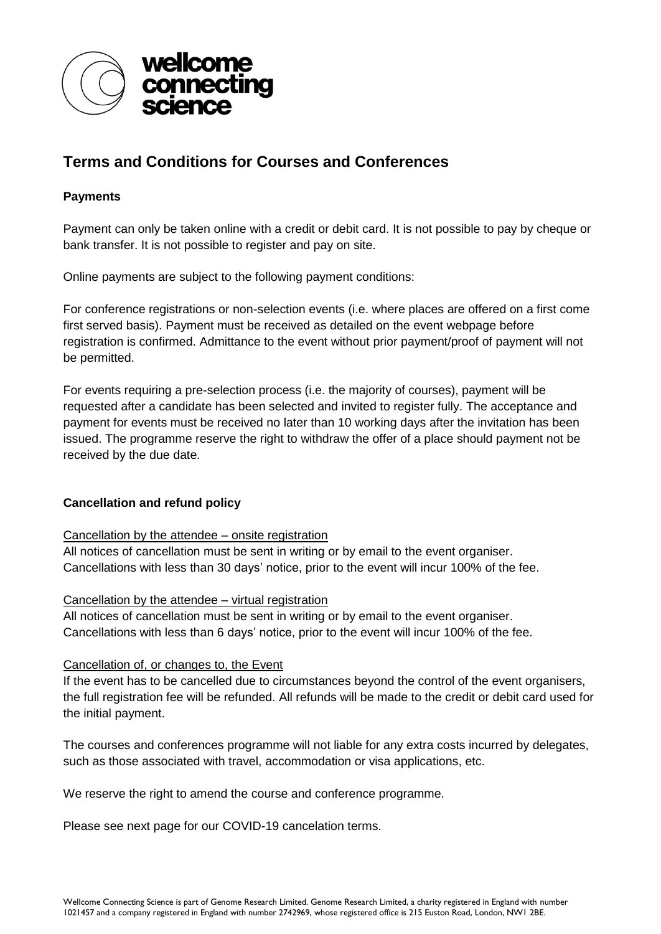

# **Terms and Conditions for Courses and Conferences**

## **Payments**

Payment can only be taken online with a credit or debit card. It is not possible to pay by cheque or bank transfer. It is not possible to register and pay on site.

Online payments are subject to the following payment conditions:

For conference registrations or non-selection events (i.e. where places are offered on a first come first served basis). Payment must be received as detailed on the event webpage before registration is confirmed. Admittance to the event without prior payment/proof of payment will not be permitted.

For events requiring a pre-selection process (i.e. the majority of courses), payment will be requested after a candidate has been selected and invited to register fully. The acceptance and payment for events must be received no later than 10 working days after the invitation has been issued. The programme reserve the right to withdraw the offer of a place should payment not be received by the due date.

## **Cancellation and refund policy**

## Cancellation by the attendee – onsite registration

All notices of cancellation must be sent in writing or by email to the event organiser. Cancellations with less than 30 days' notice, prior to the event will incur 100% of the fee.

## Cancellation by the attendee – virtual registration

All notices of cancellation must be sent in writing or by email to the event organiser. Cancellations with less than 6 days' notice, prior to the event will incur 100% of the fee.

## Cancellation of, or changes to, the Event

If the event has to be cancelled due to circumstances beyond the control of the event organisers, the full registration fee will be refunded. All refunds will be made to the credit or debit card used for the initial payment.

The courses and conferences programme will not liable for any extra costs incurred by delegates, such as those associated with travel, accommodation or visa applications, etc.

We reserve the right to amend the course and conference programme.

Please see next page for our COVID-19 cancelation terms.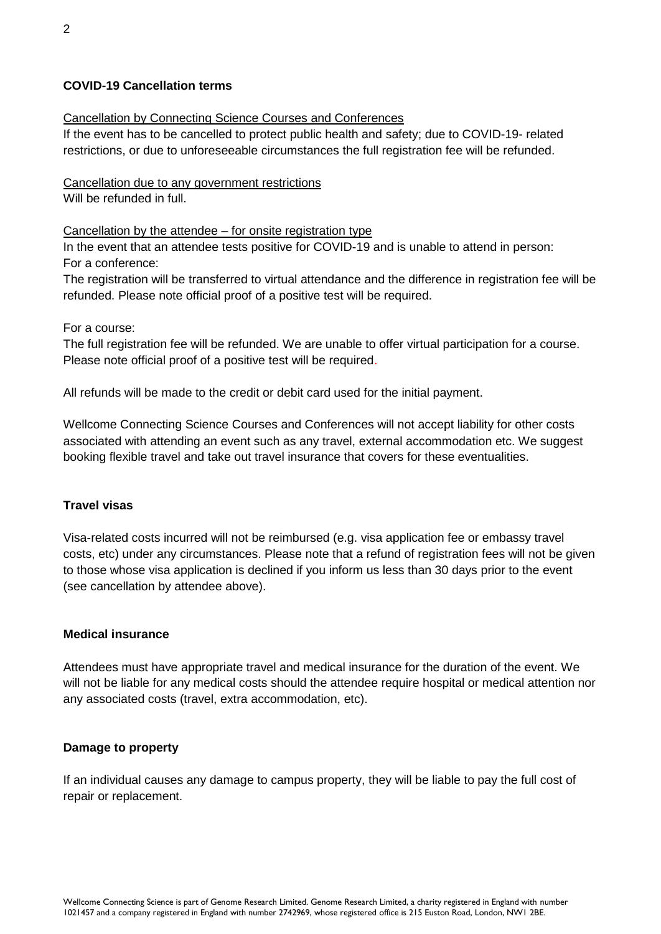## **COVID-19 Cancellation terms**

## Cancellation by Connecting Science Courses and Conferences

If the event has to be cancelled to protect public health and safety; due to COVID-19- related restrictions, or due to unforeseeable circumstances the full registration fee will be refunded.

#### Cancellation due to any government restrictions Will be refunded in full.

## Cancellation by the attendee – for onsite registration type

In the event that an attendee tests positive for COVID-19 and is unable to attend in person: For a conference:

The registration will be transferred to virtual attendance and the difference in registration fee will be refunded. Please note official proof of a positive test will be required.

#### For a course:

The full registration fee will be refunded. We are unable to offer virtual participation for a course. Please note official proof of a positive test will be required.

All refunds will be made to the credit or debit card used for the initial payment.

Wellcome Connecting Science Courses and Conferences will not accept liability for other costs associated with attending an event such as any travel, external accommodation etc. We suggest booking flexible travel and take out travel insurance that covers for these eventualities.

## **Travel visas**

Visa-related costs incurred will not be reimbursed (e.g. visa application fee or embassy travel costs, etc) under any circumstances. Please note that a refund of registration fees will not be given to those whose visa application is declined if you inform us less than 30 days prior to the event (see cancellation by attendee above).

#### **Medical insurance**

Attendees must have appropriate travel and medical insurance for the duration of the event. We will not be liable for any medical costs should the attendee require hospital or medical attention nor any associated costs (travel, extra accommodation, etc).

#### **Damage to property**

If an individual causes any damage to campus property, they will be liable to pay the full cost of repair or replacement.